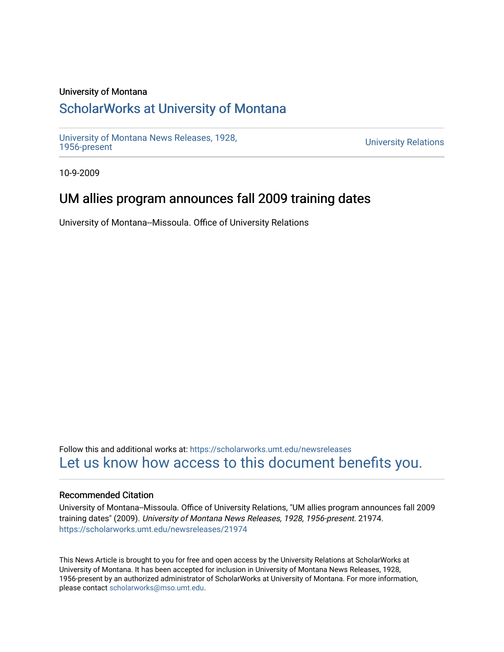### University of Montana

# [ScholarWorks at University of Montana](https://scholarworks.umt.edu/)

[University of Montana News Releases, 1928,](https://scholarworks.umt.edu/newsreleases) 

**University Relations** 

10-9-2009

# UM allies program announces fall 2009 training dates

University of Montana--Missoula. Office of University Relations

Follow this and additional works at: [https://scholarworks.umt.edu/newsreleases](https://scholarworks.umt.edu/newsreleases?utm_source=scholarworks.umt.edu%2Fnewsreleases%2F21974&utm_medium=PDF&utm_campaign=PDFCoverPages) [Let us know how access to this document benefits you.](https://goo.gl/forms/s2rGfXOLzz71qgsB2) 

### Recommended Citation

University of Montana--Missoula. Office of University Relations, "UM allies program announces fall 2009 training dates" (2009). University of Montana News Releases, 1928, 1956-present. 21974. [https://scholarworks.umt.edu/newsreleases/21974](https://scholarworks.umt.edu/newsreleases/21974?utm_source=scholarworks.umt.edu%2Fnewsreleases%2F21974&utm_medium=PDF&utm_campaign=PDFCoverPages) 

This News Article is brought to you for free and open access by the University Relations at ScholarWorks at University of Montana. It has been accepted for inclusion in University of Montana News Releases, 1928, 1956-present by an authorized administrator of ScholarWorks at University of Montana. For more information, please contact [scholarworks@mso.umt.edu.](mailto:scholarworks@mso.umt.edu)